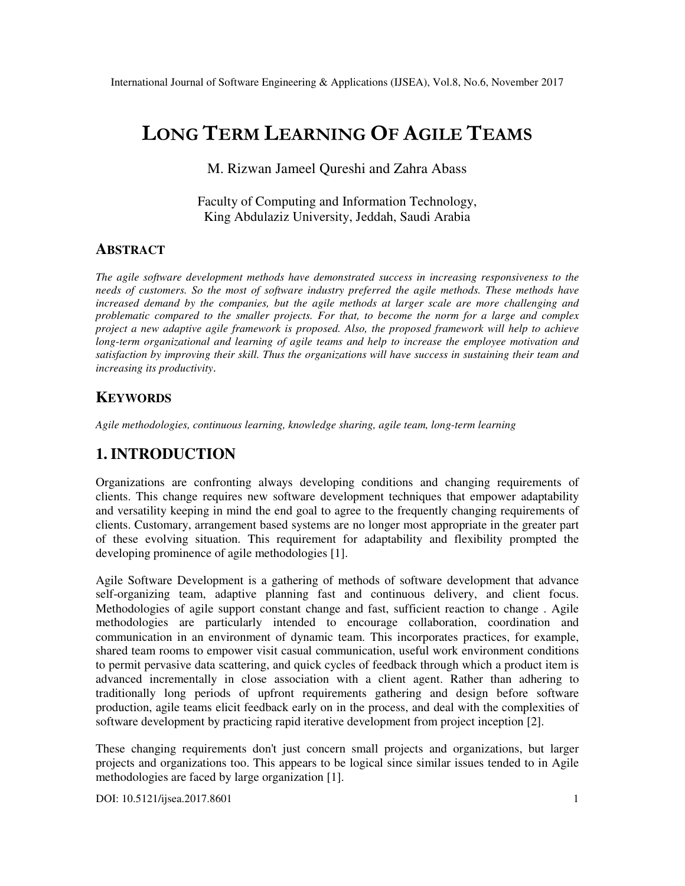# **LONG TERM LEARNING OF AGILE TEAMS**

M. Rizwan Jameel Qureshi and Zahra Abass

Faculty of Computing and Information Technology, King Abdulaziz University, Jeddah, Saudi Arabia

### **ABSTRACT**

*The agile software development methods have demonstrated success in increasing responsiveness to the needs of customers. So the most of software industry preferred the agile methods. These methods have increased demand by the companies, but the agile methods at larger scale are more challenging and problematic compared to the smaller projects. For that, to become the norm for a large and complex project a new adaptive agile framework is proposed. Also, the proposed framework will help to achieve long-term organizational and learning of agile teams and help to increase the employee motivation and satisfaction by improving their skill. Thus the organizations will have success in sustaining their team and increasing its productivity*.

# **KEYWORDS**

*Agile methodologies, continuous learning, knowledge sharing, agile team, long-term learning* 

# **1. INTRODUCTION**

Organizations are confronting always developing conditions and changing requirements of clients. This change requires new software development techniques that empower adaptability and versatility keeping in mind the end goal to agree to the frequently changing requirements of clients. Customary, arrangement based systems are no longer most appropriate in the greater part of these evolving situation. This requirement for adaptability and flexibility prompted the developing prominence of agile methodologies [1].

Agile Software Development is a gathering of methods of software development that advance self-organizing team, adaptive planning fast and continuous delivery, and client focus. Methodologies of agile support constant change and fast, sufficient reaction to change . Agile methodologies are particularly intended to encourage collaboration, coordination and communication in an environment of dynamic team. This incorporates practices, for example, shared team rooms to empower visit casual communication, useful work environment conditions to permit pervasive data scattering, and quick cycles of feedback through which a product item is advanced incrementally in close association with a client agent. Rather than adhering to traditionally long periods of upfront requirements gathering and design before software production, agile teams elicit feedback early on in the process, and deal with the complexities of software development by practicing rapid iterative development from project inception [2].

These changing requirements don't just concern small projects and organizations, but larger projects and organizations too. This appears to be logical since similar issues tended to in Agile methodologies are faced by large organization [1].

DOI: 10.5121/ijsea.2017.8601 1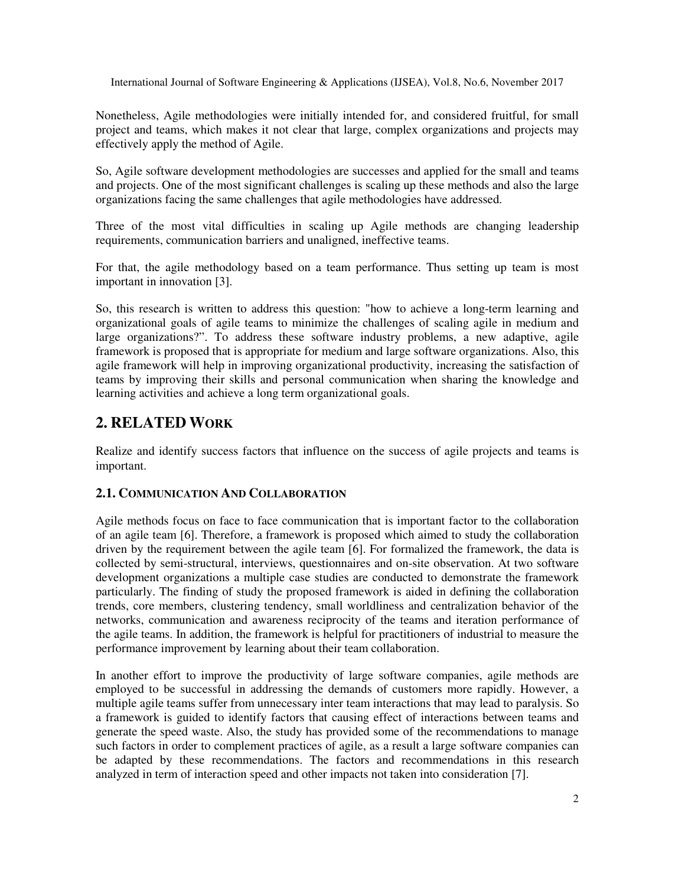Nonetheless, Agile methodologies were initially intended for, and considered fruitful, for small project and teams, which makes it not clear that large, complex organizations and projects may effectively apply the method of Agile.

So, Agile software development methodologies are successes and applied for the small and teams and projects. One of the most significant challenges is scaling up these methods and also the large organizations facing the same challenges that agile methodologies have addressed.

Three of the most vital difficulties in scaling up Agile methods are changing leadership requirements, communication barriers and unaligned, ineffective teams.

For that, the agile methodology based on a team performance. Thus setting up team is most important in innovation [3].

So, this research is written to address this question: "how to achieve a long-term learning and organizational goals of agile teams to minimize the challenges of scaling agile in medium and large organizations?". To address these software industry problems, a new adaptive, agile framework is proposed that is appropriate for medium and large software organizations. Also, this agile framework will help in improving organizational productivity, increasing the satisfaction of teams by improving their skills and personal communication when sharing the knowledge and learning activities and achieve a long term organizational goals.

# **2. RELATED WORK**

Realize and identify success factors that influence on the success of agile projects and teams is important.

# **2.1. COMMUNICATION AND COLLABORATION**

Agile methods focus on face to face communication that is important factor to the collaboration of an agile team [6]. Therefore, a framework is proposed which aimed to study the collaboration driven by the requirement between the agile team [6]. For formalized the framework, the data is collected by semi-structural, interviews, questionnaires and on-site observation. At two software development organizations a multiple case studies are conducted to demonstrate the framework particularly. The finding of study the proposed framework is aided in defining the collaboration trends, core members, clustering tendency, small worldliness and centralization behavior of the networks, communication and awareness reciprocity of the teams and iteration performance of the agile teams. In addition, the framework is helpful for practitioners of industrial to measure the performance improvement by learning about their team collaboration.

In another effort to improve the productivity of large software companies, agile methods are employed to be successful in addressing the demands of customers more rapidly. However, a multiple agile teams suffer from unnecessary inter team interactions that may lead to paralysis. So a framework is guided to identify factors that causing effect of interactions between teams and generate the speed waste. Also, the study has provided some of the recommendations to manage such factors in order to complement practices of agile, as a result a large software companies can be adapted by these recommendations. The factors and recommendations in this research analyzed in term of interaction speed and other impacts not taken into consideration [7].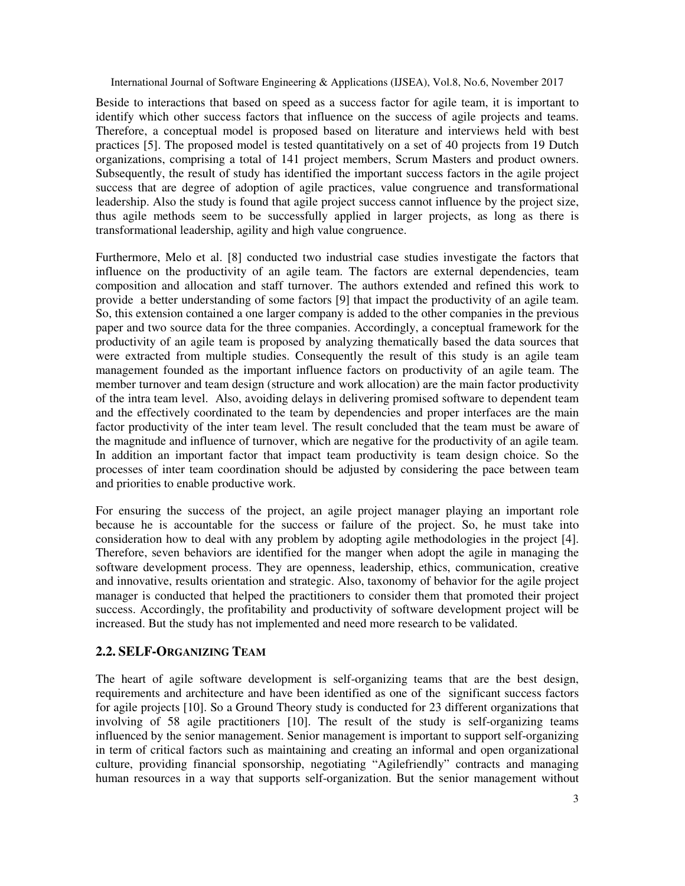Beside to interactions that based on speed as a success factor for agile team, it is important to identify which other success factors that influence on the success of agile projects and teams. Therefore, a conceptual model is proposed based on literature and interviews held with best practices [5]. The proposed model is tested quantitatively on a set of 40 projects from 19 Dutch organizations, comprising a total of 141 project members, Scrum Masters and product owners. Subsequently, the result of study has identified the important success factors in the agile project success that are degree of adoption of agile practices, value congruence and transformational leadership. Also the study is found that agile project success cannot influence by the project size, thus agile methods seem to be successfully applied in larger projects, as long as there is transformational leadership, agility and high value congruence.

Furthermore, Melo et al. [8] conducted two industrial case studies investigate the factors that influence on the productivity of an agile team. The factors are external dependencies, team composition and allocation and staff turnover. The authors extended and refined this work to provide a better understanding of some factors [9] that impact the productivity of an agile team. So, this extension contained a one larger company is added to the other companies in the previous paper and two source data for the three companies. Accordingly, a conceptual framework for the productivity of an agile team is proposed by analyzing thematically based the data sources that were extracted from multiple studies. Consequently the result of this study is an agile team management founded as the important influence factors on productivity of an agile team. The member turnover and team design (structure and work allocation) are the main factor productivity of the intra team level. Also, avoiding delays in delivering promised software to dependent team and the effectively coordinated to the team by dependencies and proper interfaces are the main factor productivity of the inter team level. The result concluded that the team must be aware of the magnitude and influence of turnover, which are negative for the productivity of an agile team. In addition an important factor that impact team productivity is team design choice. So the processes of inter team coordination should be adjusted by considering the pace between team and priorities to enable productive work.

For ensuring the success of the project, an agile project manager playing an important role because he is accountable for the success or failure of the project. So, he must take into consideration how to deal with any problem by adopting agile methodologies in the project [4]. Therefore, seven behaviors are identified for the manger when adopt the agile in managing the software development process. They are openness, leadership, ethics, communication, creative and innovative, results orientation and strategic. Also, taxonomy of behavior for the agile project manager is conducted that helped the practitioners to consider them that promoted their project success. Accordingly, the profitability and productivity of software development project will be increased. But the study has not implemented and need more research to be validated.

#### **2.2. SELF-ORGANIZING TEAM**

The heart of agile software development is self-organizing teams that are the best design, requirements and architecture and have been identified as one of the significant success factors for agile projects [10]. So a Ground Theory study is conducted for 23 different organizations that involving of 58 agile practitioners [10]. The result of the study is self-organizing teams influenced by the senior management. Senior management is important to support self-organizing in term of critical factors such as maintaining and creating an informal and open organizational culture, providing financial sponsorship, negotiating "Agilefriendly" contracts and managing human resources in a way that supports self-organization. But the senior management without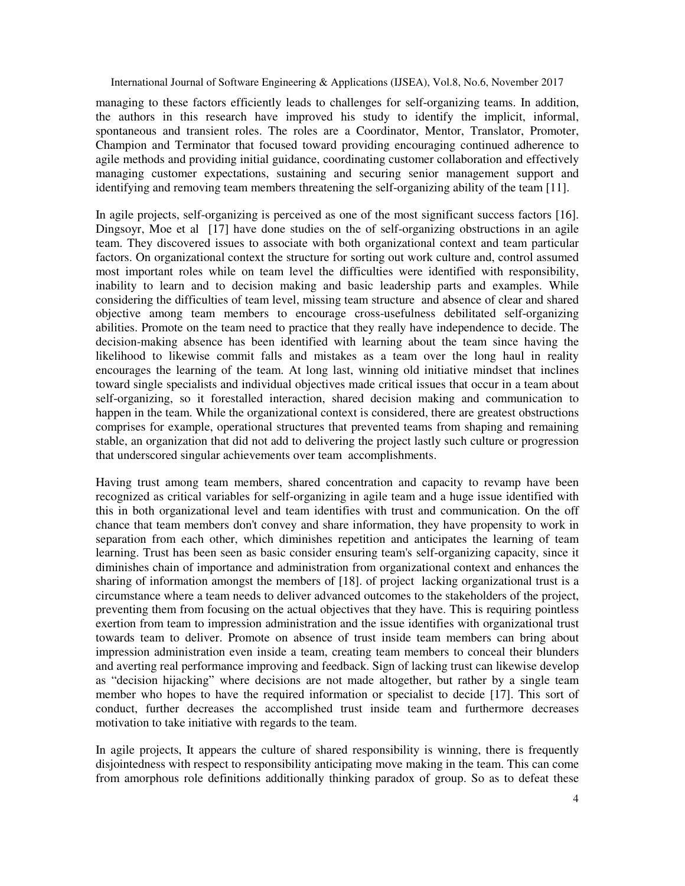managing to these factors efficiently leads to challenges for self-organizing teams. In addition, the authors in this research have improved his study to identify the implicit, informal, spontaneous and transient roles. The roles are a Coordinator, Mentor, Translator, Promoter, Champion and Terminator that focused toward providing encouraging continued adherence to agile methods and providing initial guidance, coordinating customer collaboration and effectively managing customer expectations, sustaining and securing senior management support and identifying and removing team members threatening the self-organizing ability of the team [11].

In agile projects, self-organizing is perceived as one of the most significant success factors [16]. Dingsoyr, Moe et al [17] have done studies on the of self-organizing obstructions in an agile team. They discovered issues to associate with both organizational context and team particular factors. On organizational context the structure for sorting out work culture and, control assumed most important roles while on team level the difficulties were identified with responsibility, inability to learn and to decision making and basic leadership parts and examples. While considering the difficulties of team level, missing team structure and absence of clear and shared objective among team members to encourage cross-usefulness debilitated self-organizing abilities. Promote on the team need to practice that they really have independence to decide. The decision-making absence has been identified with learning about the team since having the likelihood to likewise commit falls and mistakes as a team over the long haul in reality encourages the learning of the team. At long last, winning old initiative mindset that inclines toward single specialists and individual objectives made critical issues that occur in a team about self-organizing, so it forestalled interaction, shared decision making and communication to happen in the team. While the organizational context is considered, there are greatest obstructions comprises for example, operational structures that prevented teams from shaping and remaining stable, an organization that did not add to delivering the project lastly such culture or progression that underscored singular achievements over team accomplishments.

Having trust among team members, shared concentration and capacity to revamp have been recognized as critical variables for self-organizing in agile team and a huge issue identified with this in both organizational level and team identifies with trust and communication. On the off chance that team members don't convey and share information, they have propensity to work in separation from each other, which diminishes repetition and anticipates the learning of team learning. Trust has been seen as basic consider ensuring team's self-organizing capacity, since it diminishes chain of importance and administration from organizational context and enhances the sharing of information amongst the members of [18]. of project lacking organizational trust is a circumstance where a team needs to deliver advanced outcomes to the stakeholders of the project, preventing them from focusing on the actual objectives that they have. This is requiring pointless exertion from team to impression administration and the issue identifies with organizational trust towards team to deliver. Promote on absence of trust inside team members can bring about impression administration even inside a team, creating team members to conceal their blunders and averting real performance improving and feedback. Sign of lacking trust can likewise develop as "decision hijacking" where decisions are not made altogether, but rather by a single team member who hopes to have the required information or specialist to decide [17]. This sort of conduct, further decreases the accomplished trust inside team and furthermore decreases motivation to take initiative with regards to the team.

In agile projects, It appears the culture of shared responsibility is winning, there is frequently disjointedness with respect to responsibility anticipating move making in the team. This can come from amorphous role definitions additionally thinking paradox of group. So as to defeat these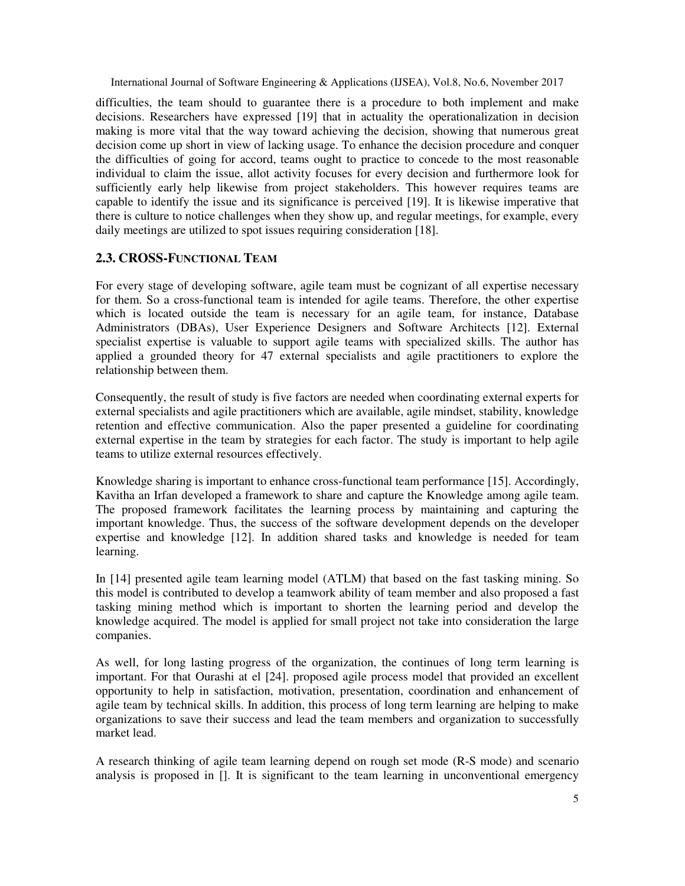difficulties, the team should to guarantee there is a procedure to both implement and make decisions. Researchers have expressed [19] that in actuality the operationalization in decision making is more vital that the way toward achieving the decision, showing that numerous great decision come up short in view of lacking usage. To enhance the decision procedure and conquer the difficulties of going for accord, teams ought to practice to concede to the most reasonable individual to claim the issue, allot activity focuses for every decision and furthermore look for sufficiently early help likewise from project stakeholders. This however requires teams are capable to identify the issue and its significance is perceived [19]. It is likewise imperative that there is culture to notice challenges when they show up, and regular meetings, for example, every daily meetings are utilized to spot issues requiring consideration [18].

## **2.3. CROSS-FUNCTIONAL TEAM**

For every stage of developing software, agile team must be cognizant of all expertise necessary for them. So a cross-functional team is intended for agile teams. Therefore, the other expertise which is located outside the team is necessary for an agile team, for instance, Database Administrators (DBAs), User Experience Designers and Software Architects [12]. External specialist expertise is valuable to support agile teams with specialized skills. The author has applied a grounded theory for 47 external specialists and agile practitioners to explore the relationship between them.

Consequently, the result of study is five factors are needed when coordinating external experts for external specialists and agile practitioners which are available, agile mindset, stability, knowledge retention and effective communication. Also the paper presented a guideline for coordinating external expertise in the team by strategies for each factor. The study is important to help agile teams to utilize external resources effectively.

Knowledge sharing is important to enhance cross-functional team performance [15]. Accordingly, Kavitha an Irfan developed a framework to share and capture the Knowledge among agile team. The proposed framework facilitates the learning process by maintaining and capturing the important knowledge. Thus, the success of the software development depends on the developer expertise and knowledge [12]. In addition shared tasks and knowledge is needed for team learning.

In [14] presented agile team learning model (ATLM) that based on the fast tasking mining. So this model is contributed to develop a teamwork ability of team member and also proposed a fast tasking mining method which is important to shorten the learning period and develop the knowledge acquired. The model is applied for small project not take into consideration the large companies.

As well, for long lasting progress of the organization, the continues of long term learning is important. For that Ourashi at el [24]. proposed agile process model that provided an excellent opportunity to help in satisfaction, motivation, presentation, coordination and enhancement of agile team by technical skills. In addition, this process of long term learning are helping to make organizations to save their success and lead the team members and organization to successfully market lead.

A research thinking of agile team learning depend on rough set mode (R-S mode) and scenario analysis is proposed in []. It is significant to the team learning in unconventional emergency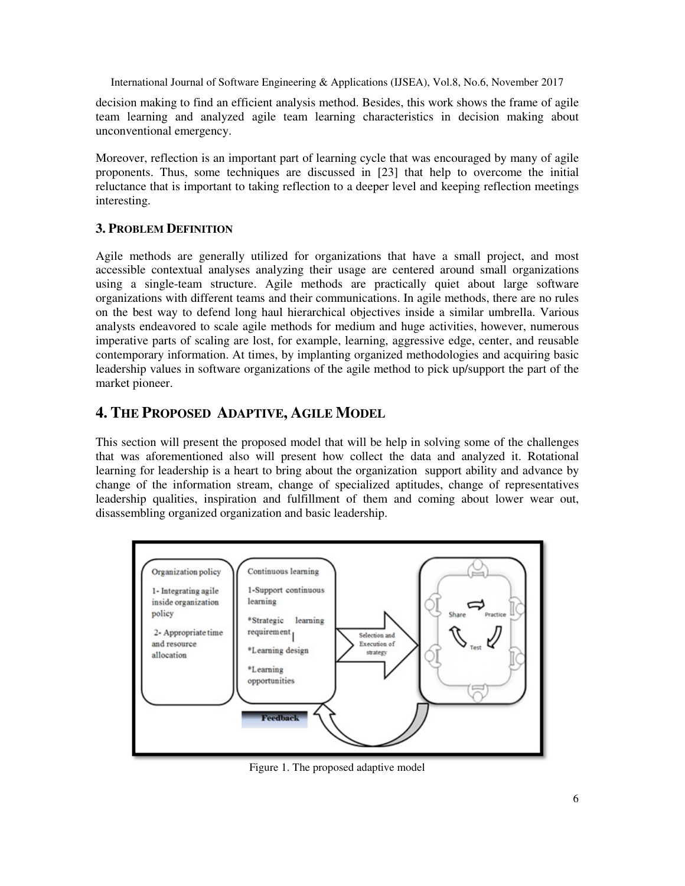decision making to find an efficient analysis method. Besides, this work shows the frame of agile team learning and analyzed agile team learning characteristics in decision making about unconventional emergency.

Moreover, reflection is an important part of learning cycle that was encouraged by many of agile proponents. Thus, some techniques are discussed in [23] that help to overcome the initial reluctance that is important to taking reflection to a deeper level and keeping reflection meetings interesting.

# **3. PROBLEM DEFINITION**

Agile methods are generally utilized for organizations that have a small project, and most accessible contextual analyses analyzing their usage are centered around small organizations using a single-team structure. Agile methods are practically quiet about large software organizations with different teams and their communications. In agile methods, there are no rules on the best way to defend long haul hierarchical objectives inside a similar umbrella. Various analysts endeavored to scale agile methods for medium and huge activities, however, numerous imperative parts of scaling are lost, for example, learning, aggressive edge, center, and reusable contemporary information. At times, by implanting organized methodologies and acquiring basic leadership values in software organizations of the agile method to pick up/support the part of the market pioneer.

# **4. THE PROPOSED ADAPTIVE, AGILE MODEL**

This section will present the proposed model that will be help in solving some of the challenges that was aforementioned also will present how collect the data and analyzed it. Rotational learning for leadership is a heart to bring about the organization support ability and advance by change of the information stream, change of specialized aptitudes, change of representatives leadership qualities, inspiration and fulfillment of them and coming about lower wear out, disassembling organized organization and basic leadership.



Figure 1. The proposed adaptive model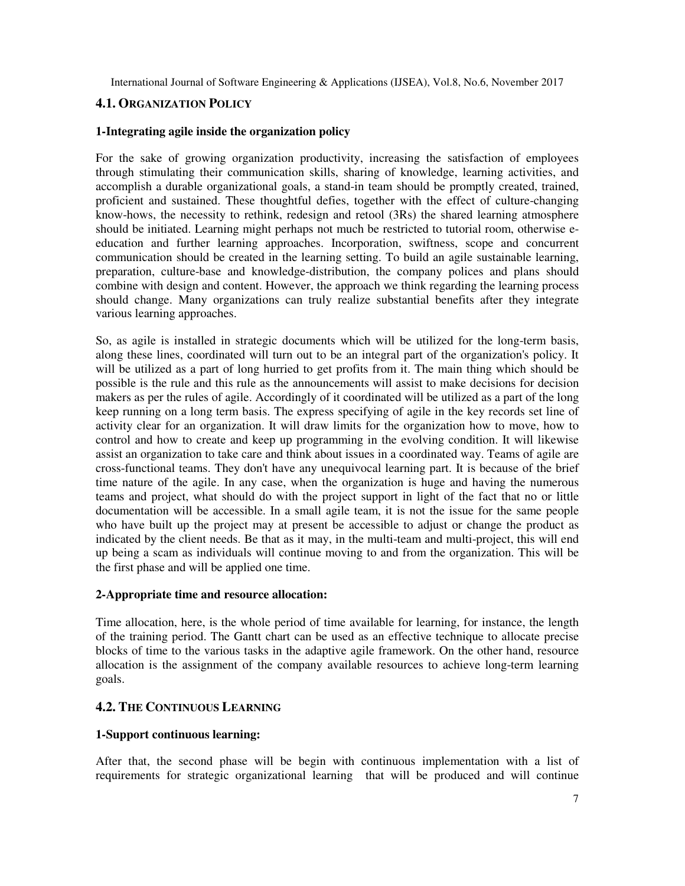#### **4.1. ORGANIZATION POLICY**

#### **1-Integrating agile inside the organization policy**

For the sake of growing organization productivity, increasing the satisfaction of employees through stimulating their communication skills, sharing of knowledge, learning activities, and accomplish a durable organizational goals, a stand-in team should be promptly created, trained, proficient and sustained. These thoughtful defies, together with the effect of culture-changing know-hows, the necessity to rethink, redesign and retool (3Rs) the shared learning atmosphere should be initiated. Learning might perhaps not much be restricted to tutorial room, otherwise eeducation and further learning approaches. Incorporation, swiftness, scope and concurrent communication should be created in the learning setting. To build an agile sustainable learning, preparation, culture-base and knowledge-distribution, the company polices and plans should combine with design and content. However, the approach we think regarding the learning process should change. Many organizations can truly realize substantial benefits after they integrate various learning approaches.

So, as agile is installed in strategic documents which will be utilized for the long-term basis, along these lines, coordinated will turn out to be an integral part of the organization's policy. It will be utilized as a part of long hurried to get profits from it. The main thing which should be possible is the rule and this rule as the announcements will assist to make decisions for decision makers as per the rules of agile. Accordingly of it coordinated will be utilized as a part of the long keep running on a long term basis. The express specifying of agile in the key records set line of activity clear for an organization. It will draw limits for the organization how to move, how to control and how to create and keep up programming in the evolving condition. It will likewise assist an organization to take care and think about issues in a coordinated way. Teams of agile are cross-functional teams. They don't have any unequivocal learning part. It is because of the brief time nature of the agile. In any case, when the organization is huge and having the numerous teams and project, what should do with the project support in light of the fact that no or little documentation will be accessible. In a small agile team, it is not the issue for the same people who have built up the project may at present be accessible to adjust or change the product as indicated by the client needs. Be that as it may, in the multi-team and multi-project, this will end up being a scam as individuals will continue moving to and from the organization. This will be the first phase and will be applied one time.

#### **2-Appropriate time and resource allocation:**

Time allocation, here, is the whole period of time available for learning, for instance, the length of the training period. The Gantt chart can be used as an effective technique to allocate precise blocks of time to the various tasks in the adaptive agile framework. On the other hand, resource allocation is the assignment of the company available resources to achieve long-term learning goals.

### **4.2. THE CONTINUOUS LEARNING**

#### **1-Support continuous learning:**

After that, the second phase will be begin with continuous implementation with a list of requirements for strategic organizational learning that will be produced and will continue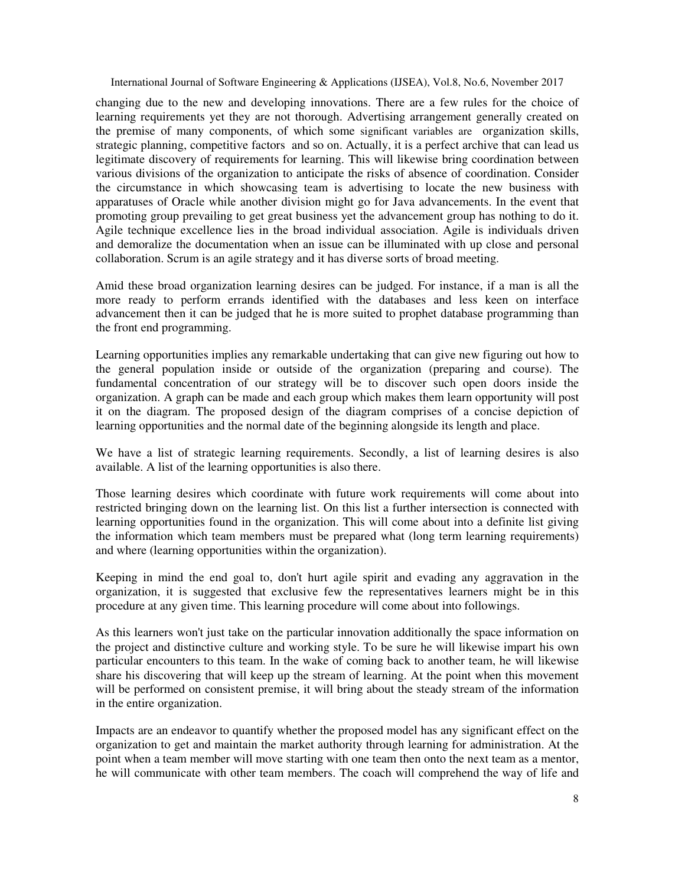changing due to the new and developing innovations. There are a few rules for the choice of learning requirements yet they are not thorough. Advertising arrangement generally created on the premise of many components, of which some significant variables are organization skills, strategic planning, competitive factors and so on. Actually, it is a perfect archive that can lead us legitimate discovery of requirements for learning. This will likewise bring coordination between various divisions of the organization to anticipate the risks of absence of coordination. Consider the circumstance in which showcasing team is advertising to locate the new business with apparatuses of Oracle while another division might go for Java advancements. In the event that promoting group prevailing to get great business yet the advancement group has nothing to do it. Agile technique excellence lies in the broad individual association. Agile is individuals driven and demoralize the documentation when an issue can be illuminated with up close and personal collaboration. Scrum is an agile strategy and it has diverse sorts of broad meeting.

Amid these broad organization learning desires can be judged. For instance, if a man is all the more ready to perform errands identified with the databases and less keen on interface advancement then it can be judged that he is more suited to prophet database programming than the front end programming.

Learning opportunities implies any remarkable undertaking that can give new figuring out how to the general population inside or outside of the organization (preparing and course). The fundamental concentration of our strategy will be to discover such open doors inside the organization. A graph can be made and each group which makes them learn opportunity will post it on the diagram. The proposed design of the diagram comprises of a concise depiction of learning opportunities and the normal date of the beginning alongside its length and place.

We have a list of strategic learning requirements. Secondly, a list of learning desires is also available. A list of the learning opportunities is also there.

Those learning desires which coordinate with future work requirements will come about into restricted bringing down on the learning list. On this list a further intersection is connected with learning opportunities found in the organization. This will come about into a definite list giving the information which team members must be prepared what (long term learning requirements) and where (learning opportunities within the organization).

Keeping in mind the end goal to, don't hurt agile spirit and evading any aggravation in the organization, it is suggested that exclusive few the representatives learners might be in this procedure at any given time. This learning procedure will come about into followings.

As this learners won't just take on the particular innovation additionally the space information on the project and distinctive culture and working style. To be sure he will likewise impart his own particular encounters to this team. In the wake of coming back to another team, he will likewise share his discovering that will keep up the stream of learning. At the point when this movement will be performed on consistent premise, it will bring about the steady stream of the information in the entire organization.

Impacts are an endeavor to quantify whether the proposed model has any significant effect on the organization to get and maintain the market authority through learning for administration. At the point when a team member will move starting with one team then onto the next team as a mentor, he will communicate with other team members. The coach will comprehend the way of life and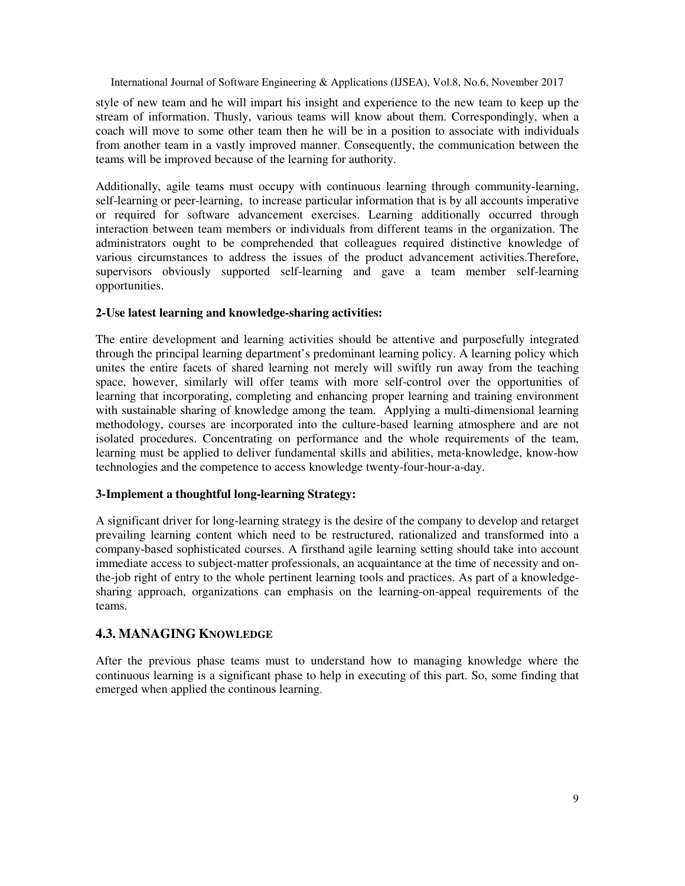style of new team and he will impart his insight and experience to the new team to keep up the stream of information. Thusly, various teams will know about them. Correspondingly, when a coach will move to some other team then he will be in a position to associate with individuals from another team in a vastly improved manner. Consequently, the communication between the teams will be improved because of the learning for authority.

Additionally, agile teams must occupy with continuous learning through community-learning, self-learning or peer-learning, to increase particular information that is by all accounts imperative or required for software advancement exercises. Learning additionally occurred through interaction between team members or individuals from different teams in the organization. The administrators ought to be comprehended that colleagues required distinctive knowledge of various circumstances to address the issues of the product advancement activities.Therefore, supervisors obviously supported self-learning and gave a team member self-learning opportunities.

#### **2-Use latest learning and knowledge-sharing activities:**

The entire development and learning activities should be attentive and purposefully integrated through the principal learning department's predominant learning policy. A learning policy which unites the entire facets of shared learning not merely will swiftly run away from the teaching space, however, similarly will offer teams with more self-control over the opportunities of learning that incorporating, completing and enhancing proper learning and training environment with sustainable sharing of knowledge among the team. Applying a multi-dimensional learning methodology, courses are incorporated into the culture-based learning atmosphere and are not isolated procedures. Concentrating on performance and the whole requirements of the team, learning must be applied to deliver fundamental skills and abilities, meta-knowledge, know-how technologies and the competence to access knowledge twenty-four-hour-a-day.

#### **3-Implement a thoughtful long-learning Strategy:**

A significant driver for long-learning strategy is the desire of the company to develop and retarget prevailing learning content which need to be restructured, rationalized and transformed into a company-based sophisticated courses. A firsthand agile learning setting should take into account immediate access to subject-matter professionals, an acquaintance at the time of necessity and onthe-job right of entry to the whole pertinent learning tools and practices. As part of a knowledgesharing approach, organizations can emphasis on the learning-on-appeal requirements of the teams.

#### **4.3. MANAGING KNOWLEDGE**

After the previous phase teams must to understand how to managing knowledge where the continuous learning is a significant phase to help in executing of this part. So, some finding that emerged when applied the continous learning.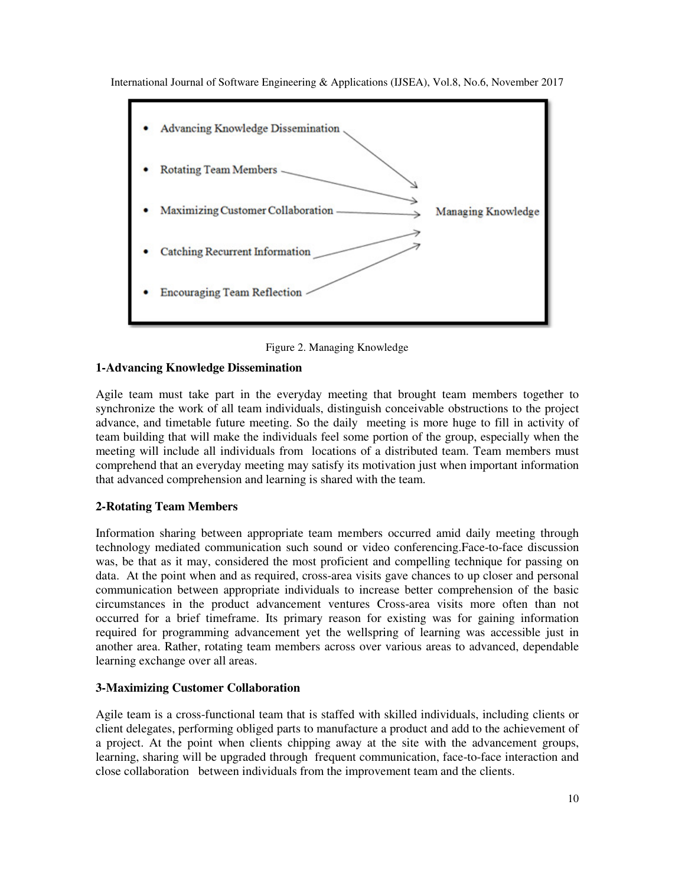

Figure 2. Managing Knowledge

### **1-Advancing Knowledge Dissemination**

Agile team must take part in the everyday meeting that brought team members together to synchronize the work of all team individuals, distinguish conceivable obstructions to the project advance, and timetable future meeting. So the daily meeting is more huge to fill in activity of team building that will make the individuals feel some portion of the group, especially when the meeting will include all individuals from locations of a distributed team. Team members must comprehend that an everyday meeting may satisfy its motivation just when important information that advanced comprehension and learning is shared with the team.

#### **2-Rotating Team Members**

Information sharing between appropriate team members occurred amid daily meeting through technology mediated communication such sound or video conferencing.Face-to-face discussion was, be that as it may, considered the most proficient and compelling technique for passing on data. At the point when and as required, cross-area visits gave chances to up closer and personal communication between appropriate individuals to increase better comprehension of the basic circumstances in the product advancement ventures Cross-area visits more often than not occurred for a brief timeframe. Its primary reason for existing was for gaining information required for programming advancement yet the wellspring of learning was accessible just in another area. Rather, rotating team members across over various areas to advanced, dependable learning exchange over all areas.

#### **3-Maximizing Customer Collaboration**

Agile team is a cross-functional team that is staffed with skilled individuals, including clients or client delegates, performing obliged parts to manufacture a product and add to the achievement of a project. At the point when clients chipping away at the site with the advancement groups, learning, sharing will be upgraded through frequent communication, face-to-face interaction and close collaboration between individuals from the improvement team and the clients.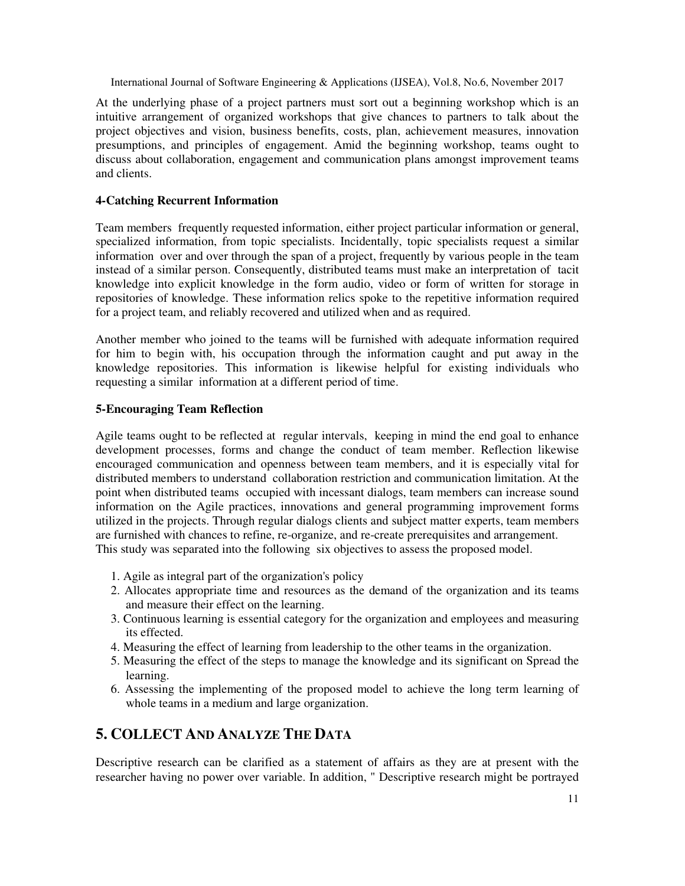At the underlying phase of a project partners must sort out a beginning workshop which is an intuitive arrangement of organized workshops that give chances to partners to talk about the project objectives and vision, business benefits, costs, plan, achievement measures, innovation presumptions, and principles of engagement. Amid the beginning workshop, teams ought to discuss about collaboration, engagement and communication plans amongst improvement teams and clients.

#### **4-Catching Recurrent Information**

Team members frequently requested information, either project particular information or general, specialized information, from topic specialists. Incidentally, topic specialists request a similar information over and over through the span of a project, frequently by various people in the team instead of a similar person. Consequently, distributed teams must make an interpretation of tacit knowledge into explicit knowledge in the form audio, video or form of written for storage in repositories of knowledge. These information relics spoke to the repetitive information required for a project team, and reliably recovered and utilized when and as required.

Another member who joined to the teams will be furnished with adequate information required for him to begin with, his occupation through the information caught and put away in the knowledge repositories. This information is likewise helpful for existing individuals who requesting a similar information at a different period of time.

#### **5-Encouraging Team Reflection**

Agile teams ought to be reflected at regular intervals, keeping in mind the end goal to enhance development processes, forms and change the conduct of team member. Reflection likewise encouraged communication and openness between team members, and it is especially vital for distributed members to understand collaboration restriction and communication limitation. At the point when distributed teams occupied with incessant dialogs, team members can increase sound information on the Agile practices, innovations and general programming improvement forms utilized in the projects. Through regular dialogs clients and subject matter experts, team members are furnished with chances to refine, re-organize, and re-create prerequisites and arrangement. This study was separated into the following six objectives to assess the proposed model.

- 1. Agile as integral part of the organization's policy
- 2. Allocates appropriate time and resources as the demand of the organization and its teams and measure their effect on the learning.
- 3. Continuous learning is essential category for the organization and employees and measuring its effected.
- 4. Measuring the effect of learning from leadership to the other teams in the organization.
- 5. Measuring the effect of the steps to manage the knowledge and its significant on Spread the learning.
- 6. Assessing the implementing of the proposed model to achieve the long term learning of whole teams in a medium and large organization.

# **5. COLLECT AND ANALYZE THE DATA**

Descriptive research can be clarified as a statement of affairs as they are at present with the researcher having no power over variable. In addition, " Descriptive research might be portrayed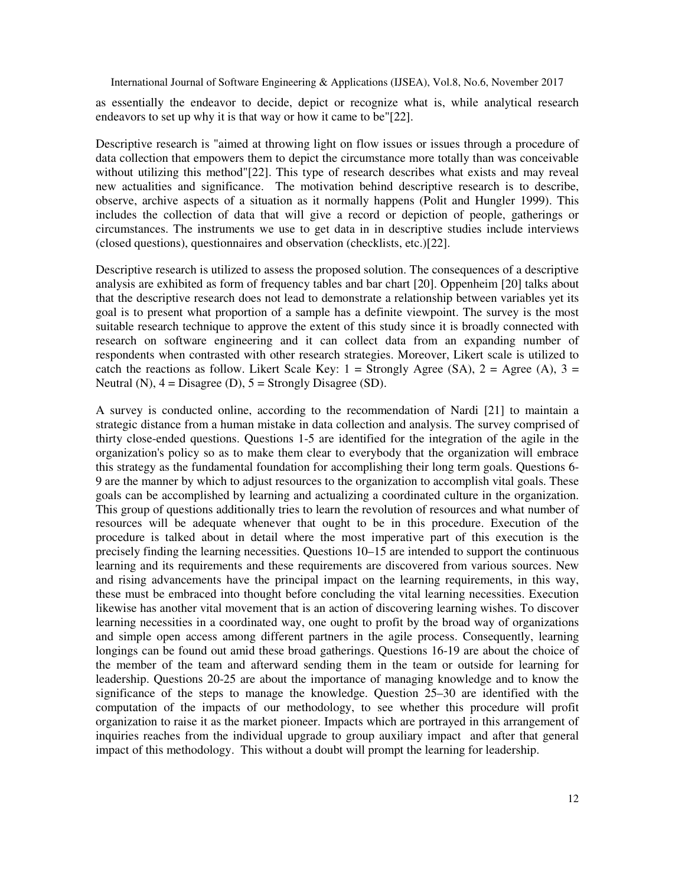as essentially the endeavor to decide, depict or recognize what is, while analytical research endeavors to set up why it is that way or how it came to be"[22].

Descriptive research is "aimed at throwing light on flow issues or issues through a procedure of data collection that empowers them to depict the circumstance more totally than was conceivable without utilizing this method"[22]. This type of research describes what exists and may reveal new actualities and significance. The motivation behind descriptive research is to describe, observe, archive aspects of a situation as it normally happens (Polit and Hungler 1999). This includes the collection of data that will give a record or depiction of people, gatherings or circumstances. The instruments we use to get data in in descriptive studies include interviews (closed questions), questionnaires and observation (checklists, etc.)[22].

Descriptive research is utilized to assess the proposed solution. The consequences of a descriptive analysis are exhibited as form of frequency tables and bar chart [20]. Oppenheim [20] talks about that the descriptive research does not lead to demonstrate a relationship between variables yet its goal is to present what proportion of a sample has a definite viewpoint. The survey is the most suitable research technique to approve the extent of this study since it is broadly connected with research on software engineering and it can collect data from an expanding number of respondents when contrasted with other research strategies. Moreover, Likert scale is utilized to catch the reactions as follow. Likert Scale Key:  $1 =$  Strongly Agree (SA),  $2 =$  Agree (A),  $3 =$ Neutral (N),  $4 = Disagree (D)$ ,  $5 = Strongly Disagree (SD)$ .

A survey is conducted online, according to the recommendation of Nardi [21] to maintain a strategic distance from a human mistake in data collection and analysis. The survey comprised of thirty close-ended questions. Questions 1-5 are identified for the integration of the agile in the organization's policy so as to make them clear to everybody that the organization will embrace this strategy as the fundamental foundation for accomplishing their long term goals. Questions 6- 9 are the manner by which to adjust resources to the organization to accomplish vital goals. These goals can be accomplished by learning and actualizing a coordinated culture in the organization. This group of questions additionally tries to learn the revolution of resources and what number of resources will be adequate whenever that ought to be in this procedure. Execution of the procedure is talked about in detail where the most imperative part of this execution is the precisely finding the learning necessities. Questions 10–15 are intended to support the continuous learning and its requirements and these requirements are discovered from various sources. New and rising advancements have the principal impact on the learning requirements, in this way, these must be embraced into thought before concluding the vital learning necessities. Execution likewise has another vital movement that is an action of discovering learning wishes. To discover learning necessities in a coordinated way, one ought to profit by the broad way of organizations and simple open access among different partners in the agile process. Consequently, learning longings can be found out amid these broad gatherings. Questions 16-19 are about the choice of the member of the team and afterward sending them in the team or outside for learning for leadership. Questions 20-25 are about the importance of managing knowledge and to know the significance of the steps to manage the knowledge. Question 25–30 are identified with the computation of the impacts of our methodology, to see whether this procedure will profit organization to raise it as the market pioneer. Impacts which are portrayed in this arrangement of inquiries reaches from the individual upgrade to group auxiliary impact and after that general impact of this methodology. This without a doubt will prompt the learning for leadership.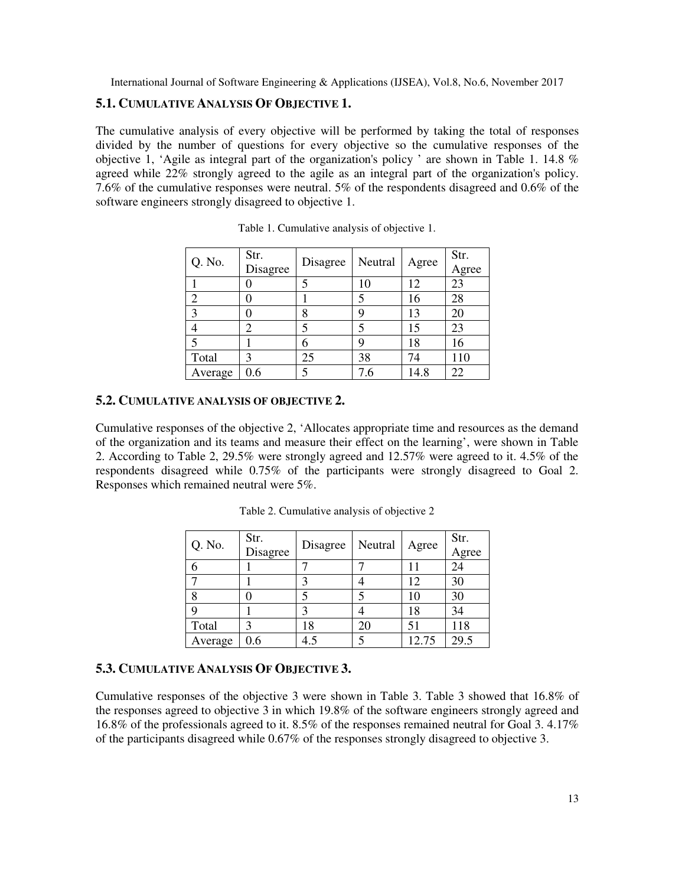### **5.1. CUMULATIVE ANALYSIS OF OBJECTIVE 1.**

The cumulative analysis of every objective will be performed by taking the total of responses divided by the number of questions for every objective so the cumulative responses of the objective 1, 'Agile as integral part of the organization's policy ' are shown in Table 1. 14.8 % agreed while 22% strongly agreed to the agile as an integral part of the organization's policy. 7.6% of the cumulative responses were neutral. 5% of the respondents disagreed and 0.6% of the software engineers strongly disagreed to objective 1.

| Q. No.  | Str.<br>Disagree | Disagree | Neutral | Agree | Str.<br>Agree |
|---------|------------------|----------|---------|-------|---------------|
|         |                  |          | 10      | 12    | 23            |
| 2       |                  |          |         | 16    | 28            |
| 3       |                  | 8        |         | 13    | 20            |
|         | $\overline{2}$   |          |         | 15    | 23            |
| 5       |                  |          | 9       | 18    | 16            |
| Total   |                  | 25       | 38      | 74    | 110           |
| Average | 0.6              |          | 7.6     | 14.8  | 22            |

|  | Table 1. Cumulative analysis of objective 1. |  |  |
|--|----------------------------------------------|--|--|

#### **5.2. CUMULATIVE ANALYSIS OF OBJECTIVE 2.**

Cumulative responses of the objective 2, 'Allocates appropriate time and resources as the demand of the organization and its teams and measure their effect on the learning', were shown in Table 2. According to Table 2, 29.5% were strongly agreed and 12.57% were agreed to it. 4.5% of the respondents disagreed while 0.75% of the participants were strongly disagreed to Goal 2. Responses which remained neutral were 5%.

| Q. No.  | Str.<br>Disagree | Disagree | Neutral | Agree | Str.<br>Agree |
|---------|------------------|----------|---------|-------|---------------|
| 6       |                  |          |         | 11    | 24            |
|         |                  |          |         | 12    | 30            |
| 8       |                  |          |         | 10    | 30            |
|         |                  |          |         | 18    | 34            |
| Total   |                  | 18       | 20      | 51    | 118           |
| Average | 0.6              | 4.5      |         | 12.75 | 29.5          |

Table 2. Cumulative analysis of objective 2

#### **5.3. CUMULATIVE ANALYSIS OF OBJECTIVE 3.**

Cumulative responses of the objective 3 were shown in Table 3. Table 3 showed that 16.8% of the responses agreed to objective 3 in which 19.8% of the software engineers strongly agreed and 16.8% of the professionals agreed to it. 8.5% of the responses remained neutral for Goal 3. 4.17% of the participants disagreed while 0.67% of the responses strongly disagreed to objective 3.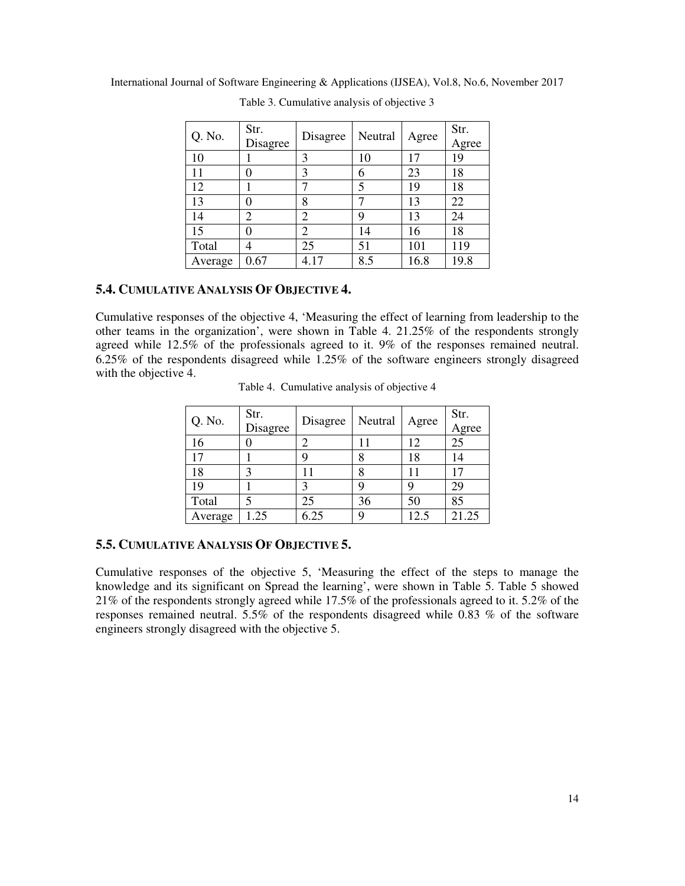| Q. No.  | Str.<br>Disagree | Disagree | Neutral | Agree | Str.<br>Agree |
|---------|------------------|----------|---------|-------|---------------|
| 10      |                  |          | 10      |       | 19            |
| 11      |                  | 3        | 6       | 23    | 18            |
| 12      |                  |          | 5       | 19    | 18            |
| 13      | 0                | 8        |         | 13    | 22            |
| 14      | 2                | 2        | q       | 13    | 24            |
| 15      |                  |          | 14      | 16    | 18            |
| Total   |                  | 25       | 51      | 101   | 119           |
| Average | 0.67             | 4.17     | 8.5     | 16.8  | 19.8          |

Table 3. Cumulative analysis of objective 3

### **5.4. CUMULATIVE ANALYSIS OF OBJECTIVE 4.**

Cumulative responses of the objective 4, 'Measuring the effect of learning from leadership to the other teams in the organization', were shown in Table 4. 21.25% of the respondents strongly agreed while 12.5% of the professionals agreed to it. 9% of the responses remained neutral. 6.25% of the respondents disagreed while 1.25% of the software engineers strongly disagreed with the objective 4.

| Q. No.  | Str.<br>Disagree | Disagree | Neutral | Agree | Str.<br>Agree |
|---------|------------------|----------|---------|-------|---------------|
| 16      |                  | ∍        |         | 12    | 25            |
| 17      |                  |          |         | 18    | 14            |
| 18      |                  |          |         |       |               |
| 19      |                  | 2        |         | q     | 29            |
| Total   |                  | 25       | 36      | 50    | 85            |
| Average | 1.25             | 6.25     |         | 12.5  | 21.25         |

Table 4. Cumulative analysis of objective 4

#### **5.5. CUMULATIVE ANALYSIS OF OBJECTIVE 5.**

Cumulative responses of the objective 5, 'Measuring the effect of the steps to manage the knowledge and its significant on Spread the learning', were shown in Table 5. Table 5 showed 21% of the respondents strongly agreed while 17.5% of the professionals agreed to it. 5.2% of the responses remained neutral. 5.5% of the respondents disagreed while 0.83 % of the software engineers strongly disagreed with the objective 5.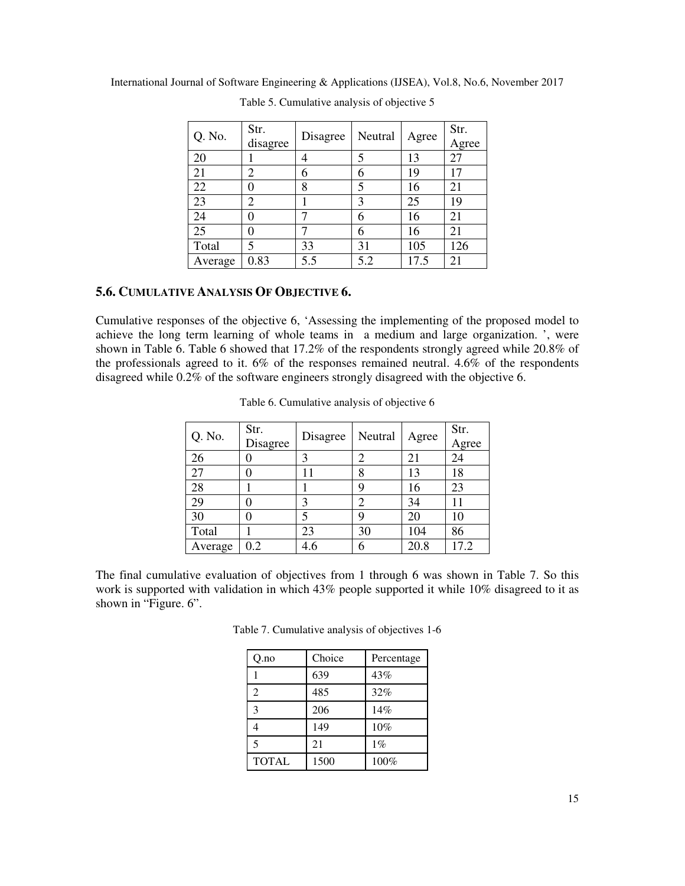| Q. No.  | Str.<br>disagree | Disagree | Neutral | Agree | Str.<br>Agree |
|---------|------------------|----------|---------|-------|---------------|
|         |                  |          |         |       |               |
| 20      |                  |          |         | 13    | 27            |
| 21      | 2                | 6        | 6       | 19    | 17            |
| 22      |                  | 8        | 5       | 16    | 21            |
| 23      | 2                |          | 3       | 25    | 19            |
| 24      |                  |          | 6       | 16    | 21            |
| 25      |                  |          | 6       | 16    | 21            |
| Total   | 5                | 33       | 31      | 105   | 126           |
| Average | 0.83             | 5.5      | 5.2     | 17.5  | 21            |

Table 5. Cumulative analysis of objective 5

# **5.6. CUMULATIVE ANALYSIS OF OBJECTIVE 6.**

Cumulative responses of the objective 6, 'Assessing the implementing of the proposed model to achieve the long term learning of whole teams in a medium and large organization. ', were shown in Table 6. Table 6 showed that 17.2% of the respondents strongly agreed while 20.8% of the professionals agreed to it. 6% of the responses remained neutral. 4.6% of the respondents disagreed while 0.2% of the software engineers strongly disagreed with the objective 6.

| Q. No.  | Str.<br>Disagree | Disagree | Neutral | Agree | Str.<br>Agree |
|---------|------------------|----------|---------|-------|---------------|
| 26      |                  |          |         | 21    | 24            |
| 27      |                  |          | 8       | 13    | 18            |
| 28      |                  |          | 9       | 16    | 23            |
| 29      |                  | κ        | 2       | 34    |               |
| 30      |                  |          |         | 20    | 10            |
| Total   |                  | 23       | 30      | 104   | 86            |
| Average | 0.2              | 4.6      | 6       | 20.8  | 17.2          |

Table 6. Cumulative analysis of objective 6

The final cumulative evaluation of objectives from 1 through 6 was shown in Table 7. So this work is supported with validation in which 43% people supported it while 10% disagreed to it as shown in "Figure. 6".

Table 7. Cumulative analysis of objectives 1-6

| Q.no         | Choice | Percentage |
|--------------|--------|------------|
|              | 639    | 43%        |
| 2            | 485    | 32%        |
| 3            | 206    | 14%        |
| 4            | 149    | 10%        |
| 5            | 21     | 1%         |
| <b>TOTAL</b> | 1500   | 100%       |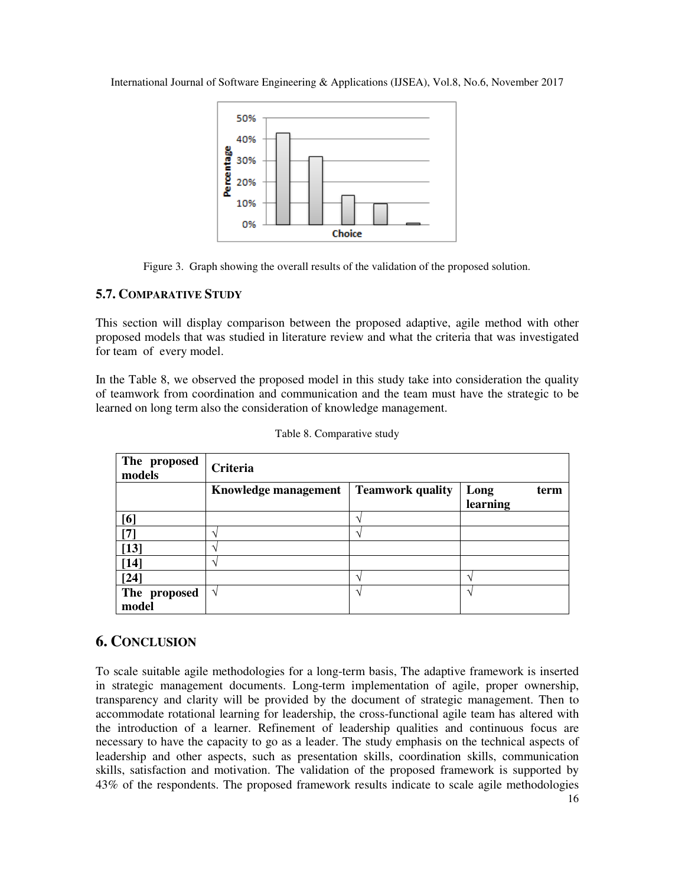

Figure 3. Graph showing the overall results of the validation of the proposed solution.

#### **5.7. COMPARATIVE STUDY**

This section will display comparison between the proposed adaptive, agile method with other proposed models that was studied in literature review and what the criteria that was investigated for team of every model.

In the Table 8, we observed the proposed model in this study take into consideration the quality of teamwork from coordination and communication and the team must have the strategic to be learned on long term also the consideration of knowledge management.

| The proposed<br>models | Criteria                    |                         |                          |  |  |  |
|------------------------|-----------------------------|-------------------------|--------------------------|--|--|--|
|                        | <b>Knowledge management</b> | <b>Teamwork quality</b> | Long<br>term<br>learning |  |  |  |
| [6]                    |                             |                         |                          |  |  |  |
| $[7]$                  |                             |                         |                          |  |  |  |
| $[13]$                 |                             |                         |                          |  |  |  |
| $[14]$                 |                             |                         |                          |  |  |  |
| $[24]$                 |                             |                         |                          |  |  |  |
| The proposed           | N                           |                         |                          |  |  |  |
| model                  |                             |                         |                          |  |  |  |

Table 8. Comparative study

# **6. CONCLUSION**

To scale suitable agile methodologies for a long-term basis, The adaptive framework is inserted in strategic management documents. Long-term implementation of agile, proper ownership, transparency and clarity will be provided by the document of strategic management. Then to accommodate rotational learning for leadership, the cross-functional agile team has altered with the introduction of a learner. Refinement of leadership qualities and continuous focus are necessary to have the capacity to go as a leader. The study emphasis on the technical aspects of leadership and other aspects, such as presentation skills, coordination skills, communication skills, satisfaction and motivation. The validation of the proposed framework is supported by 43% of the respondents. The proposed framework results indicate to scale agile methodologies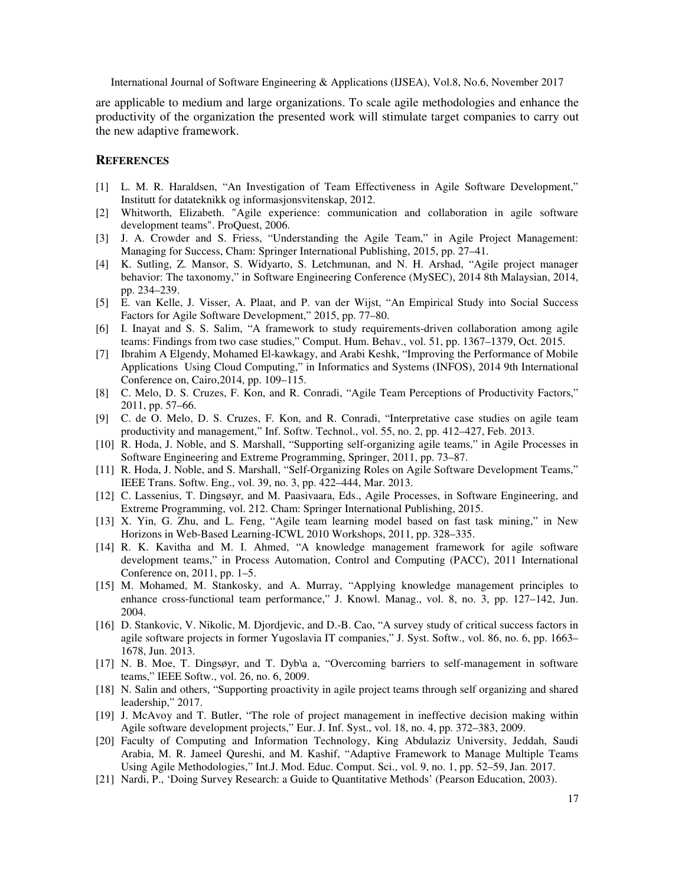are applicable to medium and large organizations. To scale agile methodologies and enhance the productivity of the organization the presented work will stimulate target companies to carry out the new adaptive framework.

#### **REFERENCES**

- [1] L. M. R. Haraldsen, "An Investigation of Team Effectiveness in Agile Software Development," Institutt for datateknikk og informasjonsvitenskap, 2012.
- [2] Whitworth, Elizabeth. "Agile experience: communication and collaboration in agile software development teams". ProQuest, 2006.
- [3] J. A. Crowder and S. Friess, "Understanding the Agile Team," in Agile Project Management: Managing for Success, Cham: Springer International Publishing, 2015, pp. 27–41.
- [4] K. Sutling, Z. Mansor, S. Widyarto, S. Letchmunan, and N. H. Arshad, "Agile project manager behavior: The taxonomy," in Software Engineering Conference (MySEC), 2014 8th Malaysian, 2014, pp. 234–239.
- [5] E. van Kelle, J. Visser, A. Plaat, and P. van der Wijst, "An Empirical Study into Social Success Factors for Agile Software Development," 2015, pp. 77–80.
- [6] I. Inayat and S. S. Salim, "A framework to study requirements-driven collaboration among agile teams: Findings from two case studies," Comput. Hum. Behav., vol. 51, pp. 1367–1379, Oct. 2015.
- [7] Ibrahim A Elgendy, Mohamed El-kawkagy, and Arabi Keshk, "Improving the Performance of Mobile Applications Using Cloud Computing," in Informatics and Systems (INFOS), 2014 9th International Conference on, Cairo,2014, pp. 109–115.
- [8] C. Melo, D. S. Cruzes, F. Kon, and R. Conradi, "Agile Team Perceptions of Productivity Factors," 2011, pp. 57–66.
- [9] C. de O. Melo, D. S. Cruzes, F. Kon, and R. Conradi, "Interpretative case studies on agile team productivity and management," Inf. Softw. Technol., vol. 55, no. 2, pp. 412–427, Feb. 2013.
- [10] R. Hoda, J. Noble, and S. Marshall, "Supporting self-organizing agile teams," in Agile Processes in Software Engineering and Extreme Programming, Springer, 2011, pp. 73–87.
- [11] R. Hoda, J. Noble, and S. Marshall, "Self-Organizing Roles on Agile Software Development Teams," IEEE Trans. Softw. Eng., vol. 39, no. 3, pp. 422–444, Mar. 2013.
- [12] C. Lassenius, T. Dingsøyr, and M. Paasivaara, Eds., Agile Processes, in Software Engineering, and Extreme Programming, vol. 212. Cham: Springer International Publishing, 2015.
- [13] X. Yin, G. Zhu, and L. Feng, "Agile team learning model based on fast task mining," in New Horizons in Web-Based Learning-ICWL 2010 Workshops, 2011, pp. 328–335.
- [14] R. K. Kavitha and M. I. Ahmed, "A knowledge management framework for agile software development teams," in Process Automation, Control and Computing (PACC), 2011 International Conference on, 2011, pp. 1–5.
- [15] M. Mohamed, M. Stankosky, and A. Murray, "Applying knowledge management principles to enhance cross-functional team performance," J. Knowl. Manag., vol. 8, no. 3, pp. 127–142, Jun. 2004.
- [16] D. Stankovic, V. Nikolic, M. Djordjevic, and D.-B. Cao, "A survey study of critical success factors in agile software projects in former Yugoslavia IT companies," J. Syst. Softw., vol. 86, no. 6, pp. 1663– 1678, Jun. 2013.
- [17] N. B. Moe, T. Dingsøyr, and T. Dyb\a a, "Overcoming barriers to self-management in software teams," IEEE Softw., vol. 26, no. 6, 2009.
- [18] N. Salin and others, "Supporting proactivity in agile project teams through self organizing and shared leadership," 2017.
- [19] J. McAvoy and T. Butler, "The role of project management in ineffective decision making within Agile software development projects," Eur. J. Inf. Syst., vol. 18, no. 4, pp. 372–383, 2009.
- [20] Faculty of Computing and Information Technology, King Abdulaziz University, Jeddah, Saudi Arabia, M. R. Jameel Qureshi, and M. Kashif, "Adaptive Framework to Manage Multiple Teams Using Agile Methodologies," Int.J. Mod. Educ. Comput. Sci., vol. 9, no. 1, pp. 52–59, Jan. 2017.
- [21] Nardi, P., 'Doing Survey Research: a Guide to Quantitative Methods' (Pearson Education, 2003).